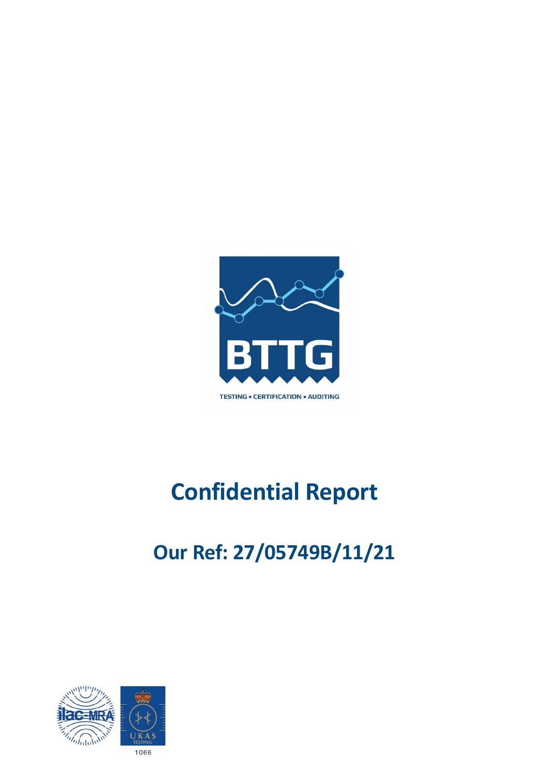

# **Confidential Report**

# **Our Ref: 27/05749B/11/21**

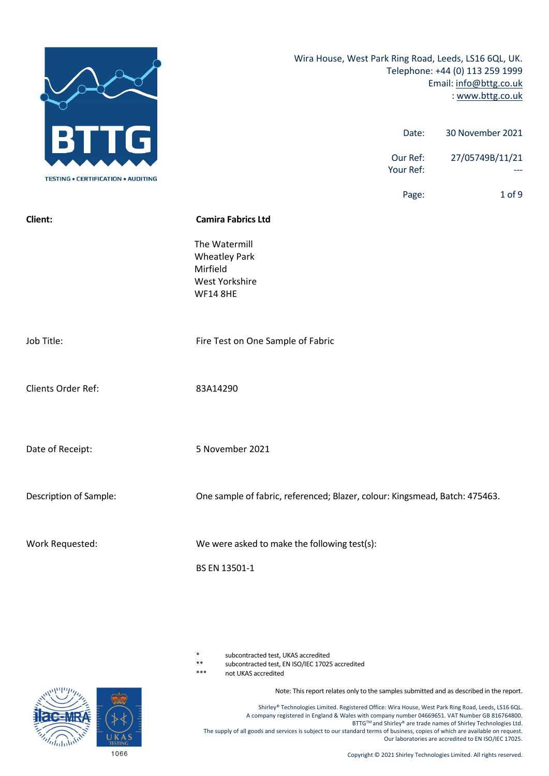

subcontracted test, UKAS accredited

\*\* subcontracted test, EN ISO/IEC 17025 accredited

not UKAS accredited

Note: This report relates only to the samples submitted and as described in the report.

Shirley® Technologies Limited. Registered Office: Wira House, West Park Ring Road, Leeds, LS16 6QL. A company registered in England & Wales with company number 04669651. VAT Number GB 816764800. BTTG™ and Shirley® are trade names of Shirley Technologies Ltd. The supply of all goods and services is subject to our standard terms of business, copies of which are available on request. Our laboratories are accredited to EN ISO/IEC 17025.

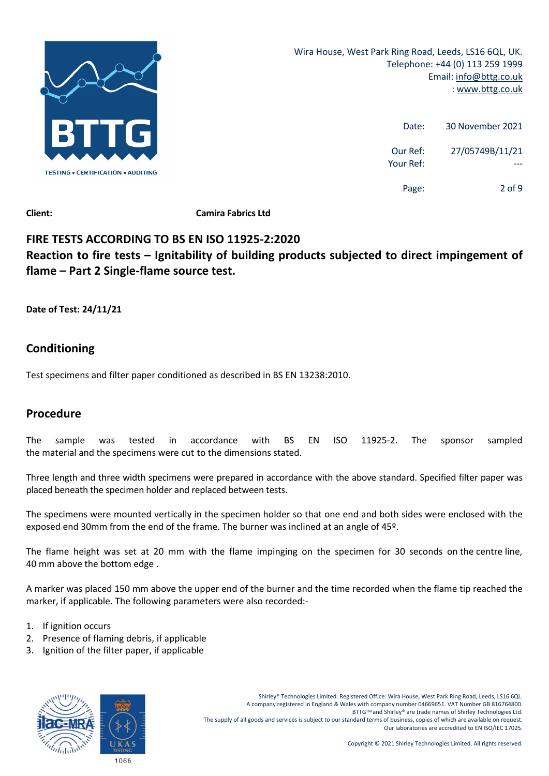

| 30 November 2021 | Date:                 |
|------------------|-----------------------|
| 27/05749B/11/21  | Our Ref:<br>Your Ref: |
| 2 of 9           | Page:                 |

# **FIRE TESTS ACCORDING TO BS EN ISO 11925‐2:2020 Reaction to fire tests – Ignitability of building products subjected to direct impingement of flame – Part 2 Single‐flame source test.**

**Date of Test: 24/11/21**

# **Conditioning**

Test specimens and filter paper conditioned as described in BS EN 13238:2010.

# **Procedure**

The sample was tested in accordance with BS EN ISO 11925‐2. The sponsor sampled the material and the specimens were cut to the dimensions stated.

Three length and three width specimens were prepared in accordance with the above standard. Specified filter paper was placed beneath the specimen holder and replaced between tests.

The specimens were mounted vertically in the specimen holder so that one end and both sides were enclosed with the exposed end 30mm from the end of the frame. The burner was inclined at an angle of 45º.

The flame height was set at 20 mm with the flame impinging on the specimen for 30 seconds on the centre line, 40 mm above the bottom edge .

A marker was placed 150 mm above the upper end of the burner and the time recorded when the flame tip reached the marker, if applicable. The following parameters were also recorded:‐

- 1. If ignition occurs
- 2. Presence of flaming debris, if applicable
- 3. Ignition of the filter paper, if applicable



Shirley® Technologies Limited. Registered Office: Wira House, West Park Ring Road, Leeds, LS16 6QL. A company registered in England & Wales with company number 04669651. VAT Number GB 816764800. BTTGTM and Shirley® are trade names of Shirley Technologies Ltd. The supply of all goods and services is subject to our standard terms of business, copies of which are available on request. Our laboratories are accredited to EN ISO/IEC 17025.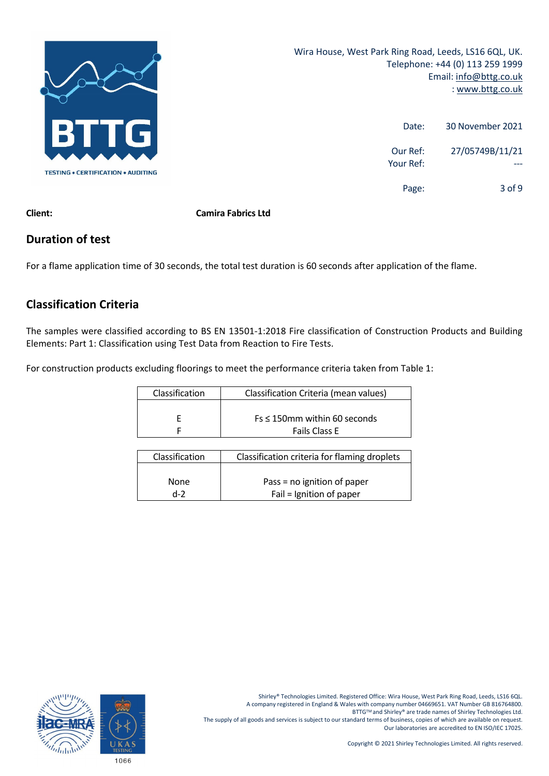

| 30 November 2021 | Date:                 |
|------------------|-----------------------|
| 27/05749B/11/21  | Our Ref:<br>Your Ref: |
| $3$ of 9         | Page:                 |

**Client: Camira Fabrics Ltd**

## **Duration of test**

For a flame application time of 30 seconds, the total test duration is 60 seconds after application of the flame.

# **Classification Criteria**

The samples were classified according to BS EN 13501‐1:2018 Fire classification of Construction Products and Building Elements: Part 1: Classification using Test Data from Reaction to Fire Tests.

For construction products excluding floorings to meet the performance criteria taken from Table 1:

| Classification | Classification Criteria (mean values) |
|----------------|---------------------------------------|
|                |                                       |
|                | $Fs \leq 150$ mm within 60 seconds    |
|                | <b>Fails Class E</b>                  |

| Classification | Classification criteria for flaming droplets |
|----------------|----------------------------------------------|
|                |                                              |
| <b>None</b>    | Pass = no ignition of paper                  |
| $d-2$          | Fail = Ignition of paper                     |

Shirley® Technologies Limited. Registered Office: Wira House, West Park Ring Road, Leeds, LS16 6QL. A company registered in England & Wales with company number 04669651. VAT Number GB 816764800. BTTG™ and Shirley® are trade names of Shirley Technologies Ltd. The supply of all goods and services is subject to our standard terms of business, copies of which are available on request. Our laboratories are accredited to EN ISO/IEC 17025.

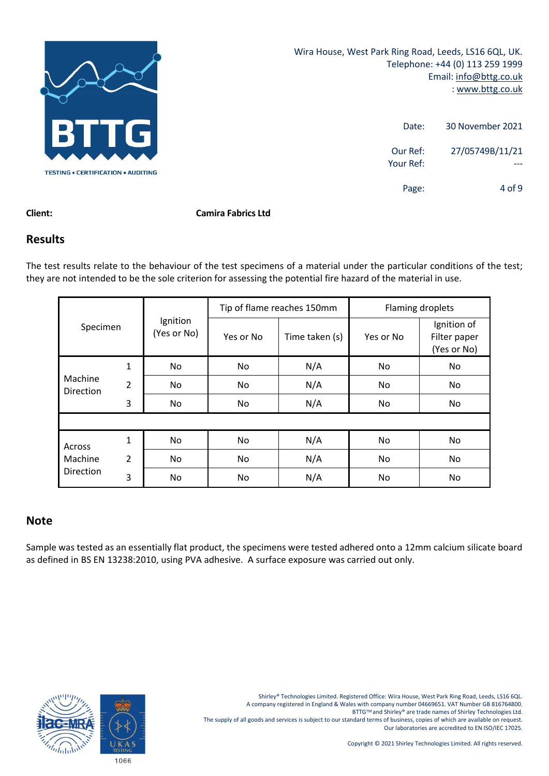

| 30 November 2021 | Date:                 |
|------------------|-----------------------|
| 27/05749B/11/21  | Our Ref:<br>Your Ref: |
| $4$ of 9         | Page:                 |

#### **Client: Camira Fabrics Ltd**

#### **Results**

The test results relate to the behaviour of the test specimens of a material under the particular conditions of the test; they are not intended to be the sole criterion for assessing the potential fire hazard of the material in use.

|                      |                |                         | Tip of flame reaches 150mm |                | Flaming droplets |                                            |
|----------------------|----------------|-------------------------|----------------------------|----------------|------------------|--------------------------------------------|
| Specimen             |                | Ignition<br>(Yes or No) | Yes or No                  | Time taken (s) | Yes or No        | Ignition of<br>Filter paper<br>(Yes or No) |
|                      | $\mathbf{1}$   | No                      | No                         | N/A            | No               | No.                                        |
| Machine<br>Direction | $\overline{2}$ | No                      | No                         | N/A            | No               | No.                                        |
|                      | 3              | No.                     | No                         | N/A            | No               | No                                         |
|                      |                |                         |                            |                |                  |                                            |
| Across               | 1              | No.                     | No                         | N/A            | No               | No                                         |
| Machine              | $\overline{2}$ | No.                     | <b>No</b>                  | N/A            | No               | No.                                        |
| Direction            | 3              | No.                     | No                         | N/A            | No               | No                                         |

### **Note**

Sample was tested as an essentially flat product, the specimens were tested adhered onto a 12mm calcium silicate board as defined in BS EN 13238:2010, using PVA adhesive. A surface exposure was carried out only.

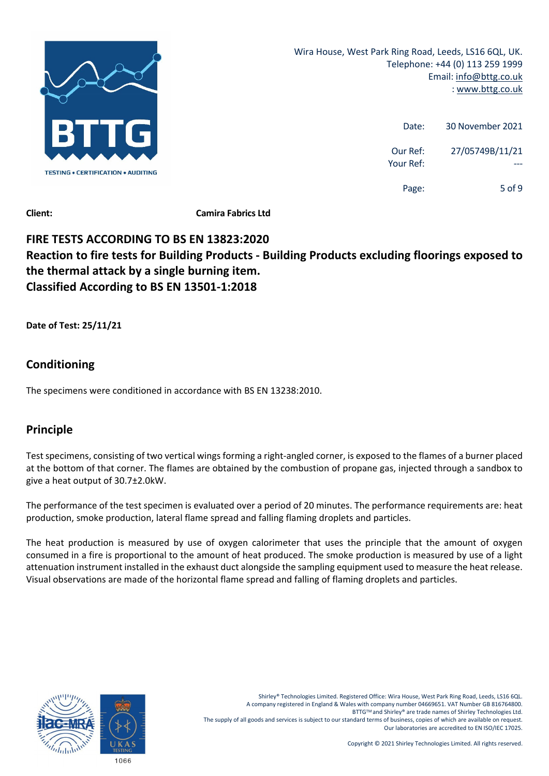

| 30 November 2021 | Date:                 |
|------------------|-----------------------|
| 27/05749B/11/21  | Our Ref:<br>Your Ref: |
| 5 of 9           | Page:                 |

# **FIRE TESTS ACCORDING TO BS EN 13823:2020 Reaction to fire tests for Building Products ‐ Building Products excluding floorings exposed to the thermal attack by a single burning item. Classified According to BS EN 13501‐1:2018**

**Date of Test: 25/11/21**

# **Conditioning**

The specimens were conditioned in accordance with BS EN 13238:2010.

# **Principle**

Test specimens, consisting of two vertical wings forming a right-angled corner, is exposed to the flames of a burner placed at the bottom of that corner. The flames are obtained by the combustion of propane gas, injected through a sandbox to give a heat output of 30.7±2.0kW.

The performance of the test specimen is evaluated over a period of 20 minutes. The performance requirements are: heat production, smoke production, lateral flame spread and falling flaming droplets and particles.

The heat production is measured by use of oxygen calorimeter that uses the principle that the amount of oxygen consumed in a fire is proportional to the amount of heat produced. The smoke production is measured by use of a light attenuation instrument installed in the exhaust duct alongside the sampling equipment used to measure the heat release. Visual observations are made of the horizontal flame spread and falling of flaming droplets and particles.



Shirley® Technologies Limited. Registered Office: Wira House, West Park Ring Road, Leeds, LS16 6QL. A company registered in England & Wales with company number 04669651. VAT Number GB 816764800. BTTGTM and Shirley® are trade names of Shirley Technologies Ltd. The supply of all goods and services is subject to our standard terms of business, copies of which are available on request. Our laboratories are accredited to EN ISO/IEC 17025.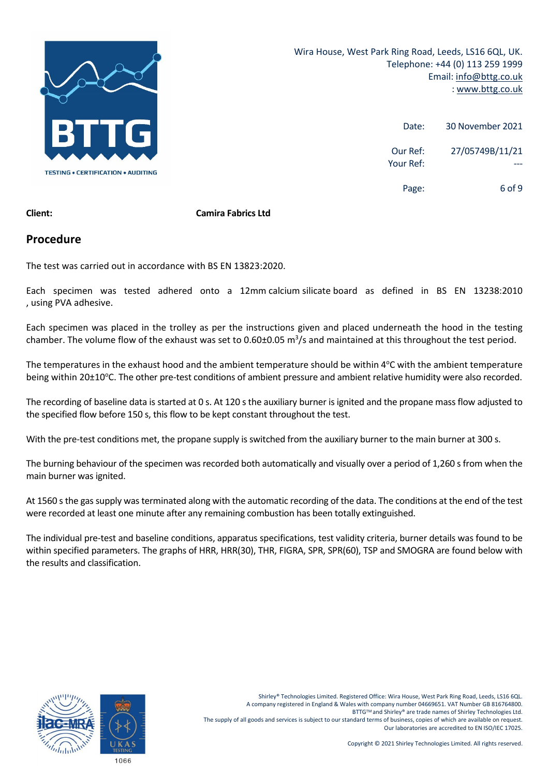

| 30 November 2021 | Date:                 |
|------------------|-----------------------|
| 27/05749B/11/21  | Our Ref:<br>Your Ref: |
| 6 of 9           | Page:                 |

#### **Client: Camira Fabrics Ltd**

#### **Procedure**

The test was carried out in accordance with BS EN 13823:2020.

Each specimen was tested adhered onto a 12mm calcium silicate board as defined in BS EN 13238:2010 , using PVA adhesive.

Each specimen was placed in the trolley as per the instructions given and placed underneath the hood in the testing chamber. The volume flow of the exhaust was set to 0.60±0.05  $m^3/s$  and maintained at this throughout the test period.

The temperatures in the exhaust hood and the ambient temperature should be within 4°C with the ambient temperature being within 20±10°C. The other pre-test conditions of ambient pressure and ambient relative humidity were also recorded.

The recording of baseline data is started at 0 s. At 120 s the auxiliary burner is ignited and the propane mass flow adjusted to the specified flow before 150 s, this flow to be kept constant throughout the test.

With the pre-test conditions met, the propane supply is switched from the auxiliary burner to the main burner at 300 s.

The burning behaviour of the specimen was recorded both automatically and visually over a period of 1,260 s from when the main burner was ignited.

At 1560 s the gas supply was terminated along with the automatic recording of the data. The conditions at the end of the test were recorded at least one minute after any remaining combustion has been totally extinguished.

The individual pre‐test and baseline conditions, apparatus specifications, test validity criteria, burner details was found to be within specified parameters. The graphs of HRR, HRR(30), THR, FIGRA, SPR, SPR(60), TSP and SMOGRA are found below with the results and classification.

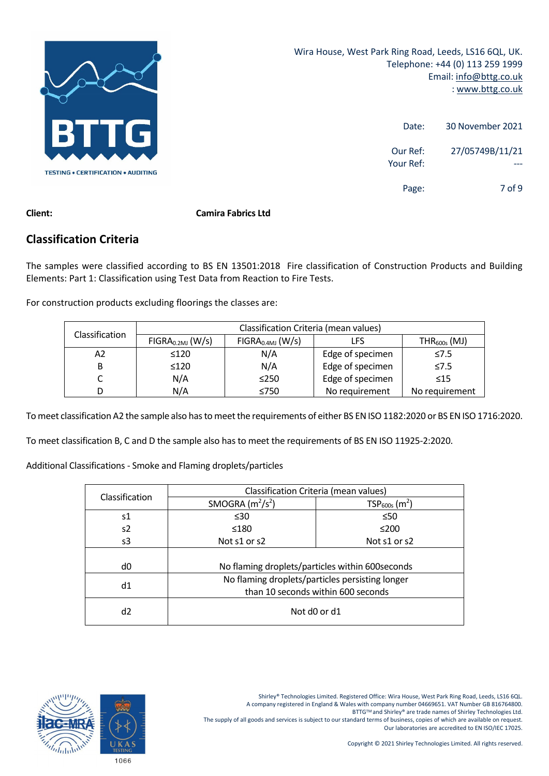

| 30 November 2021 | Date:                 |
|------------------|-----------------------|
| 27/05749B/11/21  | Our Ref:<br>Your Ref: |
| 7 of 9           | Page:                 |

### **Classification Criteria**

The samples were classified according to BS EN 13501:2018 Fire classification of Construction Products and Building Elements: Part 1: Classification using Test Data from Reaction to Fire Tests.

For construction products excluding floorings the classes are:

| <b>Classification</b> | Classification Criteria (mean values) |                                                          |                |                |  |
|-----------------------|---------------------------------------|----------------------------------------------------------|----------------|----------------|--|
|                       | FIGRA <sub>0.2MJ</sub> (W/s)          | FIGRA <sub>0.4MJ</sub> (W/s)<br>$THR_{600s}$ (MJ)<br>LFS |                |                |  |
| А2                    | $\leq 120$                            | N/A<br>Edge of specimen                                  |                | $\leq 7.5$     |  |
| В                     | $\leq 120$                            | Edge of specimen<br>N/A                                  |                | $\leq 7.5$     |  |
|                       | N/A                                   | Edge of specimen<br>$\leq$ 250                           |                | $\leq 15$      |  |
| D                     | N/A                                   | ≤750                                                     | No requirement | No requirement |  |

To meet classification A2 the sample also has to meet the requirements of either BS EN ISO 1182:2020 or BS EN ISO 1716:2020.

To meet classification B, C and D the sample also has to meet the requirements of BS EN ISO 11925‐2:2020.

Additional Classifications ‐ Smoke and Flaming droplets/particles

| Classification | Classification Criteria (mean values)           |                                                  |  |
|----------------|-------------------------------------------------|--------------------------------------------------|--|
|                | SMOGRA $(m^2/s^2)$                              | $TSP600s$ (m <sup>2</sup> )                      |  |
| s1             | $\leq 30$                                       | $\leq 50$                                        |  |
| s2             | ≤180                                            | $≤200$                                           |  |
| s3             | Not s1 or s2                                    | Not s1 or s2                                     |  |
|                |                                                 |                                                  |  |
| d0             |                                                 | No flaming droplets/particles within 600 seconds |  |
| d1             | No flaming droplets/particles persisting longer |                                                  |  |
|                | than 10 seconds within 600 seconds              |                                                  |  |
| d2             | Not d0 or d1                                    |                                                  |  |

BTTG™ and Shirley® are trade names of Shirley Technologies Ltd.

The supply of all goods and services is subject to our standard terms of business, copies of which are available on request. Our laboratories are accredited to EN ISO/IEC 17025.

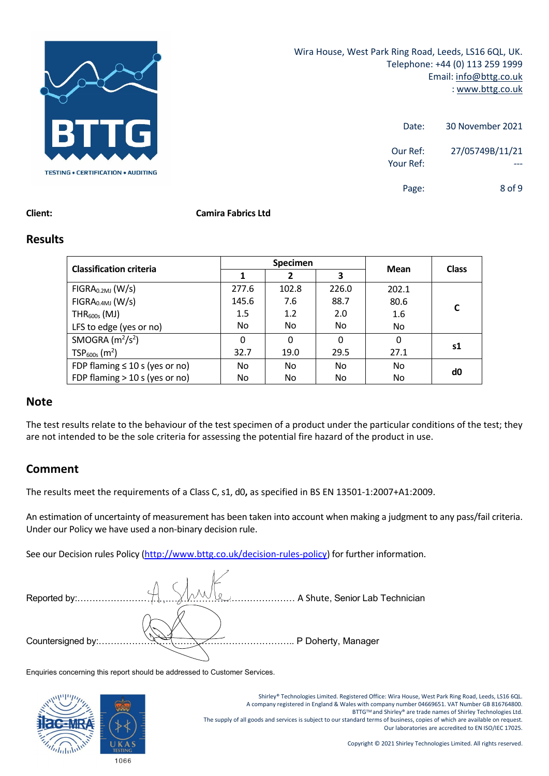

| 30 November 2021              | Date:                 |
|-------------------------------|-----------------------|
| 27/05749B/11/21               | Our Ref:<br>Your Ref: |
| 8 <sub>0</sub> f <sub>9</sub> | Page:                 |

#### **Client: Camira Fabrics Ltd**

#### **Results**

| <b>Classification criteria</b>      | <b>Specimen</b> |       |          |       |              |
|-------------------------------------|-----------------|-------|----------|-------|--------------|
|                                     |                 | 2     | 3        | Mean  | <b>Class</b> |
| FIGRA <sub>0.2MJ</sub> (W/s)        | 277.6           | 102.8 | 226.0    | 202.1 |              |
| FIGRA <sub>0.4MJ</sub> (W/s)        | 145.6           | 7.6   | 88.7     | 80.6  |              |
| $THR600s$ (MJ)                      | 1.5             | 1.2   | 2.0      | 1.6   | C            |
| LFS to edge (yes or no)             | No.             | No    | No.      | No    |              |
| SMOGRA $(m2/s2)$                    | $\Omega$        | 0     | $\Omega$ | 0     |              |
| $TSP600s$ (m <sup>2</sup> )         | 32.7            | 19.0  | 29.5     | 27.1  | s1           |
| FDP flaming $\leq 10$ s (yes or no) | No.             | No    | No.      | No    | d0           |
| FDP flaming $>$ 10 s (yes or no)    | No.             | No    | No       | No    |              |

#### **Note**

The test results relate to the behaviour of the test specimen of a product under the particular conditions of the test; they are not intended to be the sole criteria for assessing the potential fire hazard of the product in use.

#### **Comment**

The results meet the requirements of a Class C, s1, d0**,** as specified in BS EN 13501‐1:2007+A1:2009.

An estimation of uncertainty of measurement has been taken into account when making a judgment to any pass/fail criteria. Under our Policy we have used a non‐binary decision rule.

See our Decision rules Policy (http://www.bttg.co.uk/decision-rules-policy) for further information.

| Reported by:.      | A Shute, Senior Lab Technician |
|--------------------|--------------------------------|
|                    |                                |
| Countersigned by:. | P Doherty, Manager             |

Enquiries concerning this report should be addressed to Customer Services.



Shirley® Technologies Limited. Registered Office: Wira House, West Park Ring Road, Leeds, LS16 6QL. A company registered in England & Wales with company number 04669651. VAT Number GB 816764800. BTTGTM and Shirley® are trade names of Shirley Technologies Ltd. The supply of all goods and services is subject to our standard terms of business, copies of which are available on request. Our laboratories are accredited to EN ISO/IEC 17025.